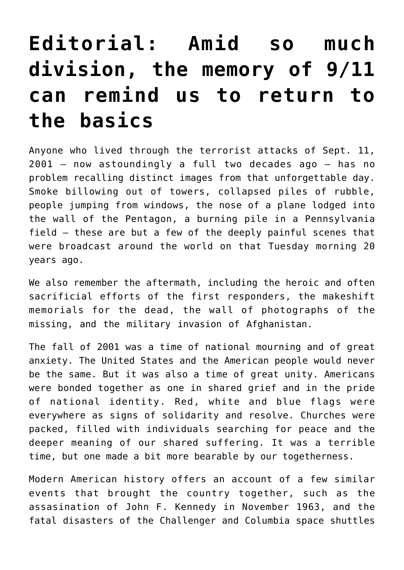## **[Editorial: Amid so much](https://www.osvnews.com/2021/08/24/editorial-amid-so-much-division-the-memory-of-9-11-can-remind-us-to-return-to-the-basics/) [division, the memory of 9/11](https://www.osvnews.com/2021/08/24/editorial-amid-so-much-division-the-memory-of-9-11-can-remind-us-to-return-to-the-basics/) [can remind us to return to](https://www.osvnews.com/2021/08/24/editorial-amid-so-much-division-the-memory-of-9-11-can-remind-us-to-return-to-the-basics/) [the basics](https://www.osvnews.com/2021/08/24/editorial-amid-so-much-division-the-memory-of-9-11-can-remind-us-to-return-to-the-basics/)**

Anyone who lived through the terrorist attacks of Sept. 11, 2001 — now astoundingly a full two decades ago — has no problem recalling distinct images from that unforgettable day. Smoke billowing out of towers, collapsed piles of rubble, people jumping from windows, the nose of a plane lodged into the wall of the Pentagon, a burning pile in a Pennsylvania field — these are but a few of the deeply painful scenes that were broadcast around the world on that Tuesday morning 20 years ago.

We also remember the aftermath, including the heroic and often sacrificial efforts of the first responders, the makeshift memorials for the dead, the wall of photographs of the missing, and the military invasion of Afghanistan.

The fall of 2001 was a time of national mourning and of great anxiety. The United States and the American people would never be the same. But it was also a time of great unity. Americans were bonded together as one in shared grief and in the pride of national identity. Red, white and blue flags were everywhere as signs of solidarity and resolve. Churches were packed, filled with individuals searching for peace and the deeper meaning of our shared suffering. It was a terrible time, but one made a bit more bearable by our togetherness.

Modern American history offers an account of a few similar events that brought the country together, such as the assasination of John F. Kennedy in November 1963, and the fatal disasters of the Challenger and Columbia space shuttles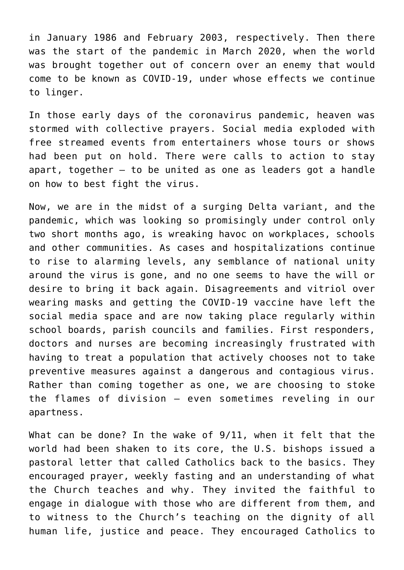in January 1986 and February 2003, respectively. Then there was the start of the pandemic in March 2020, when the world was brought together out of concern over an enemy that would come to be known as COVID-19, under whose effects we continue to linger.

In those early days of the coronavirus pandemic, heaven was stormed with collective prayers. Social media exploded with free streamed events from entertainers whose tours or shows had been put on hold. There were calls to action to stay apart, together  $-$  to be united as one as leaders got a handle on how to best fight the virus.

Now, we are in the midst of a surging Delta variant, and the pandemic, which was looking so promisingly under control only two short months ago, is wreaking havoc on workplaces, schools and other communities. As cases and hospitalizations continue to rise to alarming levels, any semblance of national unity around the virus is gone, and no one seems to have the will or desire to bring it back again. Disagreements and vitriol over wearing masks and getting the COVID-19 vaccine have left the social media space and are now taking place regularly within school boards, parish councils and families. First responders, doctors and nurses are becoming increasingly frustrated with having to treat a population that actively chooses not to take preventive measures against a dangerous and contagious virus. Rather than coming together as one, we are choosing to stoke the flames of division — even sometimes reveling in our apartness.

What can be done? In the wake of 9/11, when it felt that the world had been shaken to its core, the U.S. bishops issued a pastoral letter that called Catholics back to the basics. They encouraged prayer, weekly fasting and an understanding of what the Church teaches and why. They invited the faithful to engage in dialogue with those who are different from them, and to witness to the Church's teaching on the dignity of all human life, justice and peace. They encouraged Catholics to